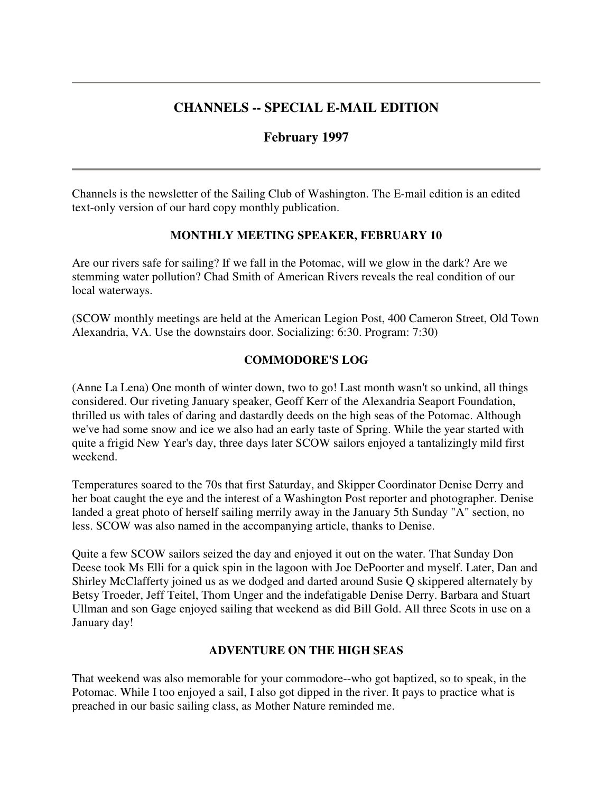## **CHANNELS -- SPECIAL E-MAIL EDITION**

## **February 1997**

Channels is the newsletter of the Sailing Club of Washington. The E-mail edition is an edited text-only version of our hard copy monthly publication.

#### **MONTHLY MEETING SPEAKER, FEBRUARY 10**

Are our rivers safe for sailing? If we fall in the Potomac, will we glow in the dark? Are we stemming water pollution? Chad Smith of American Rivers reveals the real condition of our local waterways.

(SCOW monthly meetings are held at the American Legion Post, 400 Cameron Street, Old Town Alexandria, VA. Use the downstairs door. Socializing: 6:30. Program: 7:30)

### **COMMODORE'S LOG**

(Anne La Lena) One month of winter down, two to go! Last month wasn't so unkind, all things considered. Our riveting January speaker, Geoff Kerr of the Alexandria Seaport Foundation, thrilled us with tales of daring and dastardly deeds on the high seas of the Potomac. Although we've had some snow and ice we also had an early taste of Spring. While the year started with quite a frigid New Year's day, three days later SCOW sailors enjoyed a tantalizingly mild first weekend.

Temperatures soared to the 70s that first Saturday, and Skipper Coordinator Denise Derry and her boat caught the eye and the interest of a Washington Post reporter and photographer. Denise landed a great photo of herself sailing merrily away in the January 5th Sunday "A" section, no less. SCOW was also named in the accompanying article, thanks to Denise.

Quite a few SCOW sailors seized the day and enjoyed it out on the water. That Sunday Don Deese took Ms Elli for a quick spin in the lagoon with Joe DePoorter and myself. Later, Dan and Shirley McClafferty joined us as we dodged and darted around Susie Q skippered alternately by Betsy Troeder, Jeff Teitel, Thom Unger and the indefatigable Denise Derry. Barbara and Stuart Ullman and son Gage enjoyed sailing that weekend as did Bill Gold. All three Scots in use on a January day!

### **ADVENTURE ON THE HIGH SEAS**

That weekend was also memorable for your commodore--who got baptized, so to speak, in the Potomac. While I too enjoyed a sail, I also got dipped in the river. It pays to practice what is preached in our basic sailing class, as Mother Nature reminded me.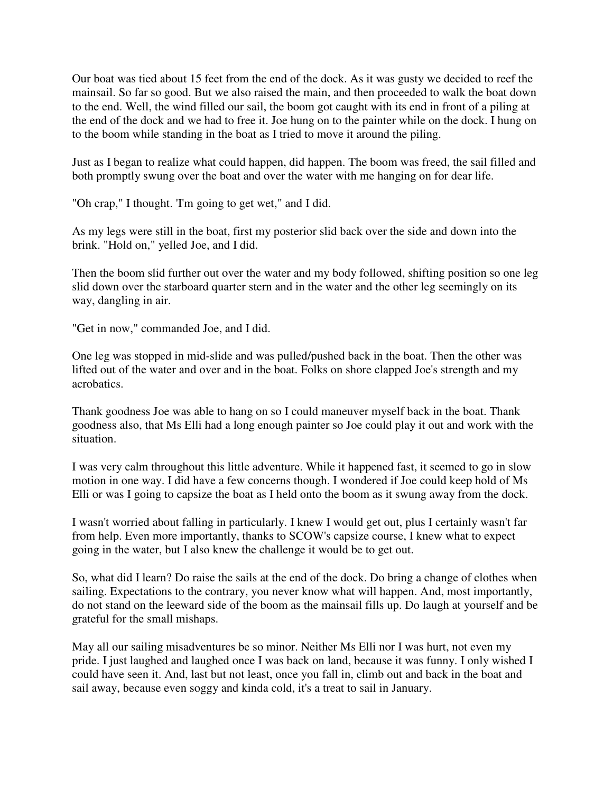Our boat was tied about 15 feet from the end of the dock. As it was gusty we decided to reef the mainsail. So far so good. But we also raised the main, and then proceeded to walk the boat down to the end. Well, the wind filled our sail, the boom got caught with its end in front of a piling at the end of the dock and we had to free it. Joe hung on to the painter while on the dock. I hung on to the boom while standing in the boat as I tried to move it around the piling.

Just as I began to realize what could happen, did happen. The boom was freed, the sail filled and both promptly swung over the boat and over the water with me hanging on for dear life.

"Oh crap," I thought. 'I'm going to get wet," and I did.

As my legs were still in the boat, first my posterior slid back over the side and down into the brink. "Hold on," yelled Joe, and I did.

Then the boom slid further out over the water and my body followed, shifting position so one leg slid down over the starboard quarter stern and in the water and the other leg seemingly on its way, dangling in air.

"Get in now," commanded Joe, and I did.

One leg was stopped in mid-slide and was pulled/pushed back in the boat. Then the other was lifted out of the water and over and in the boat. Folks on shore clapped Joe's strength and my acrobatics.

Thank goodness Joe was able to hang on so I could maneuver myself back in the boat. Thank goodness also, that Ms Elli had a long enough painter so Joe could play it out and work with the situation.

I was very calm throughout this little adventure. While it happened fast, it seemed to go in slow motion in one way. I did have a few concerns though. I wondered if Joe could keep hold of Ms Elli or was I going to capsize the boat as I held onto the boom as it swung away from the dock.

I wasn't worried about falling in particularly. I knew I would get out, plus I certainly wasn't far from help. Even more importantly, thanks to SCOW's capsize course, I knew what to expect going in the water, but I also knew the challenge it would be to get out.

So, what did I learn? Do raise the sails at the end of the dock. Do bring a change of clothes when sailing. Expectations to the contrary, you never know what will happen. And, most importantly, do not stand on the leeward side of the boom as the mainsail fills up. Do laugh at yourself and be grateful for the small mishaps.

May all our sailing misadventures be so minor. Neither Ms Elli nor I was hurt, not even my pride. I just laughed and laughed once I was back on land, because it was funny. I only wished I could have seen it. And, last but not least, once you fall in, climb out and back in the boat and sail away, because even soggy and kinda cold, it's a treat to sail in January.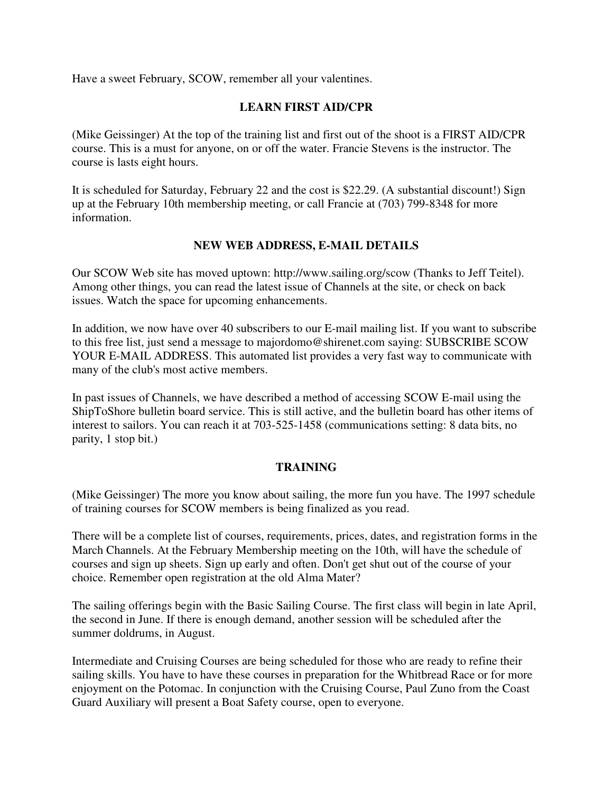Have a sweet February, SCOW, remember all your valentines.

### **LEARN FIRST AID/CPR**

(Mike Geissinger) At the top of the training list and first out of the shoot is a FIRST AID/CPR course. This is a must for anyone, on or off the water. Francie Stevens is the instructor. The course is lasts eight hours.

It is scheduled for Saturday, February 22 and the cost is \$22.29. (A substantial discount!) Sign up at the February 10th membership meeting, or call Francie at (703) 799-8348 for more information.

### **NEW WEB ADDRESS, E-MAIL DETAILS**

Our SCOW Web site has moved uptown: http://www.sailing.org/scow (Thanks to Jeff Teitel). Among other things, you can read the latest issue of Channels at the site, or check on back issues. Watch the space for upcoming enhancements.

In addition, we now have over 40 subscribers to our E-mail mailing list. If you want to subscribe to this free list, just send a message to majordomo@shirenet.com saying: SUBSCRIBE SCOW YOUR E-MAIL ADDRESS. This automated list provides a very fast way to communicate with many of the club's most active members.

In past issues of Channels, we have described a method of accessing SCOW E-mail using the ShipToShore bulletin board service. This is still active, and the bulletin board has other items of interest to sailors. You can reach it at 703-525-1458 (communications setting: 8 data bits, no parity, 1 stop bit.)

### **TRAINING**

(Mike Geissinger) The more you know about sailing, the more fun you have. The 1997 schedule of training courses for SCOW members is being finalized as you read.

There will be a complete list of courses, requirements, prices, dates, and registration forms in the March Channels. At the February Membership meeting on the 10th, will have the schedule of courses and sign up sheets. Sign up early and often. Don't get shut out of the course of your choice. Remember open registration at the old Alma Mater?

The sailing offerings begin with the Basic Sailing Course. The first class will begin in late April, the second in June. If there is enough demand, another session will be scheduled after the summer doldrums, in August.

Intermediate and Cruising Courses are being scheduled for those who are ready to refine their sailing skills. You have to have these courses in preparation for the Whitbread Race or for more enjoyment on the Potomac. In conjunction with the Cruising Course, Paul Zuno from the Coast Guard Auxiliary will present a Boat Safety course, open to everyone.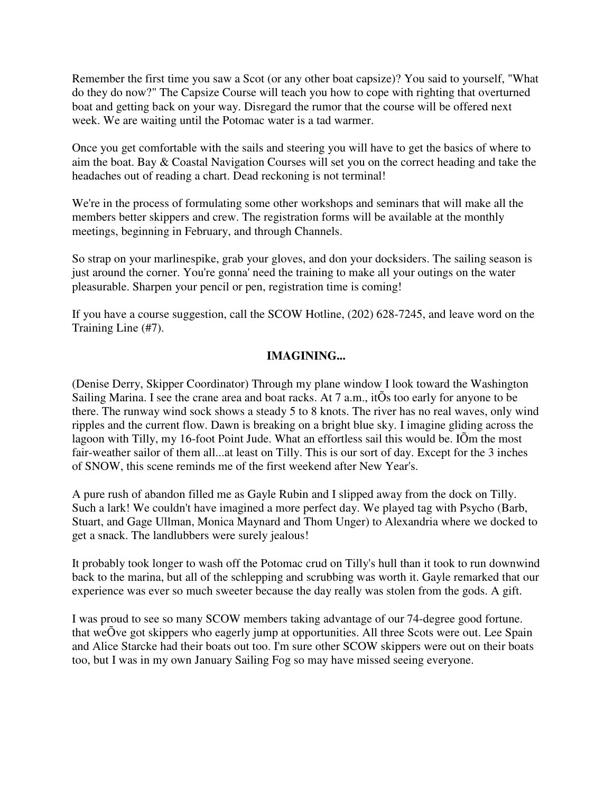Remember the first time you saw a Scot (or any other boat capsize)? You said to yourself, "What do they do now?" The Capsize Course will teach you how to cope with righting that overturned boat and getting back on your way. Disregard the rumor that the course will be offered next week. We are waiting until the Potomac water is a tad warmer.

Once you get comfortable with the sails and steering you will have to get the basics of where to aim the boat. Bay & Coastal Navigation Courses will set you on the correct heading and take the headaches out of reading a chart. Dead reckoning is not terminal!

We're in the process of formulating some other workshops and seminars that will make all the members better skippers and crew. The registration forms will be available at the monthly meetings, beginning in February, and through Channels.

So strap on your marlinespike, grab your gloves, and don your docksiders. The sailing season is just around the corner. You're gonna' need the training to make all your outings on the water pleasurable. Sharpen your pencil or pen, registration time is coming!

If you have a course suggestion, call the SCOW Hotline, (202) 628-7245, and leave word on the Training Line (#7).

### **IMAGINING...**

(Denise Derry, Skipper Coordinator) Through my plane window I look toward the Washington Sailing Marina. I see the crane area and boat racks. At 7 a.m., itÕs too early for anyone to be there. The runway wind sock shows a steady 5 to 8 knots. The river has no real waves, only wind ripples and the current flow. Dawn is breaking on a bright blue sky. I imagine gliding across the lagoon with Tilly, my 16-foot Point Jude. What an effortless sail this would be. IÕm the most fair-weather sailor of them all...at least on Tilly. This is our sort of day. Except for the 3 inches of SNOW, this scene reminds me of the first weekend after New Year's.

A pure rush of abandon filled me as Gayle Rubin and I slipped away from the dock on Tilly. Such a lark! We couldn't have imagined a more perfect day. We played tag with Psycho (Barb, Stuart, and Gage Ullman, Monica Maynard and Thom Unger) to Alexandria where we docked to get a snack. The landlubbers were surely jealous!

It probably took longer to wash off the Potomac crud on Tilly's hull than it took to run downwind back to the marina, but all of the schlepping and scrubbing was worth it. Gayle remarked that our experience was ever so much sweeter because the day really was stolen from the gods. A gift.

I was proud to see so many SCOW members taking advantage of our 74-degree good fortune. that weÕve got skippers who eagerly jump at opportunities. All three Scots were out. Lee Spain and Alice Starcke had their boats out too. I'm sure other SCOW skippers were out on their boats too, but I was in my own January Sailing Fog so may have missed seeing everyone.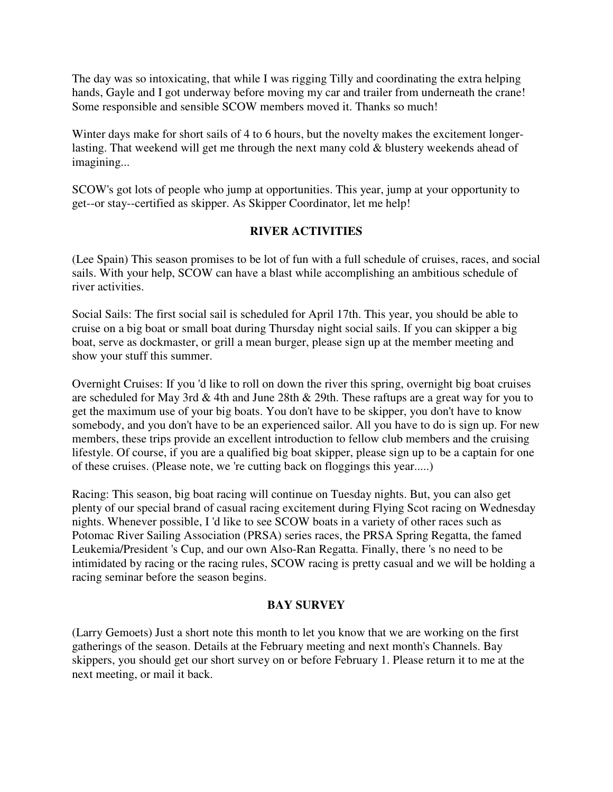The day was so intoxicating, that while I was rigging Tilly and coordinating the extra helping hands, Gayle and I got underway before moving my car and trailer from underneath the crane! Some responsible and sensible SCOW members moved it. Thanks so much!

Winter days make for short sails of 4 to 6 hours, but the novelty makes the excitement longerlasting. That weekend will get me through the next many cold & blustery weekends ahead of imagining...

SCOW's got lots of people who jump at opportunities. This year, jump at your opportunity to get--or stay--certified as skipper. As Skipper Coordinator, let me help!

## **RIVER ACTIVITIES**

(Lee Spain) This season promises to be lot of fun with a full schedule of cruises, races, and social sails. With your help, SCOW can have a blast while accomplishing an ambitious schedule of river activities.

Social Sails: The first social sail is scheduled for April 17th. This year, you should be able to cruise on a big boat or small boat during Thursday night social sails. If you can skipper a big boat, serve as dockmaster, or grill a mean burger, please sign up at the member meeting and show your stuff this summer.

Overnight Cruises: If you 'd like to roll on down the river this spring, overnight big boat cruises are scheduled for May 3rd & 4th and June 28th & 29th. These raftups are a great way for you to get the maximum use of your big boats. You don't have to be skipper, you don't have to know somebody, and you don't have to be an experienced sailor. All you have to do is sign up. For new members, these trips provide an excellent introduction to fellow club members and the cruising lifestyle. Of course, if you are a qualified big boat skipper, please sign up to be a captain for one of these cruises. (Please note, we 're cutting back on floggings this year.....)

Racing: This season, big boat racing will continue on Tuesday nights. But, you can also get plenty of our special brand of casual racing excitement during Flying Scot racing on Wednesday nights. Whenever possible, I 'd like to see SCOW boats in a variety of other races such as Potomac River Sailing Association (PRSA) series races, the PRSA Spring Regatta, the famed Leukemia/President 's Cup, and our own Also-Ran Regatta. Finally, there 's no need to be intimidated by racing or the racing rules, SCOW racing is pretty casual and we will be holding a racing seminar before the season begins.

### **BAY SURVEY**

(Larry Gemoets) Just a short note this month to let you know that we are working on the first gatherings of the season. Details at the February meeting and next month's Channels. Bay skippers, you should get our short survey on or before February 1. Please return it to me at the next meeting, or mail it back.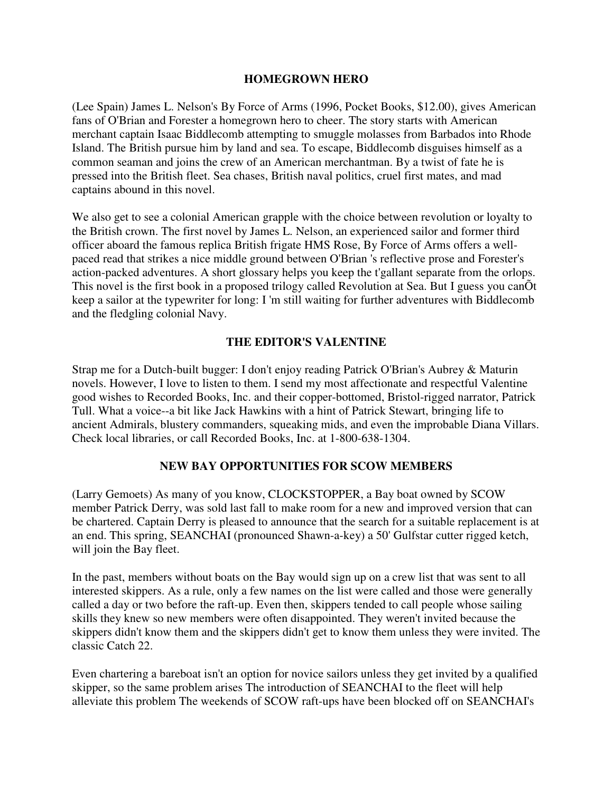#### **HOMEGROWN HERO**

(Lee Spain) James L. Nelson's By Force of Arms (1996, Pocket Books, \$12.00), gives American fans of O'Brian and Forester a homegrown hero to cheer. The story starts with American merchant captain Isaac Biddlecomb attempting to smuggle molasses from Barbados into Rhode Island. The British pursue him by land and sea. To escape, Biddlecomb disguises himself as a common seaman and joins the crew of an American merchantman. By a twist of fate he is pressed into the British fleet. Sea chases, British naval politics, cruel first mates, and mad captains abound in this novel.

We also get to see a colonial American grapple with the choice between revolution or loyalty to the British crown. The first novel by James L. Nelson, an experienced sailor and former third officer aboard the famous replica British frigate HMS Rose, By Force of Arms offers a wellpaced read that strikes a nice middle ground between O'Brian 's reflective prose and Forester's action-packed adventures. A short glossary helps you keep the t'gallant separate from the orlops. This novel is the first book in a proposed trilogy called Revolution at Sea. But I guess you canÕt keep a sailor at the typewriter for long: I 'm still waiting for further adventures with Biddlecomb and the fledgling colonial Navy.

### **THE EDITOR'S VALENTINE**

Strap me for a Dutch-built bugger: I don't enjoy reading Patrick O'Brian's Aubrey & Maturin novels. However, I love to listen to them. I send my most affectionate and respectful Valentine good wishes to Recorded Books, Inc. and their copper-bottomed, Bristol-rigged narrator, Patrick Tull. What a voice--a bit like Jack Hawkins with a hint of Patrick Stewart, bringing life to ancient Admirals, blustery commanders, squeaking mids, and even the improbable Diana Villars. Check local libraries, or call Recorded Books, Inc. at 1-800-638-1304.

#### **NEW BAY OPPORTUNITIES FOR SCOW MEMBERS**

(Larry Gemoets) As many of you know, CLOCKSTOPPER, a Bay boat owned by SCOW member Patrick Derry, was sold last fall to make room for a new and improved version that can be chartered. Captain Derry is pleased to announce that the search for a suitable replacement is at an end. This spring, SEANCHAI (pronounced Shawn-a-key) a 50' Gulfstar cutter rigged ketch, will join the Bay fleet.

In the past, members without boats on the Bay would sign up on a crew list that was sent to all interested skippers. As a rule, only a few names on the list were called and those were generally called a day or two before the raft-up. Even then, skippers tended to call people whose sailing skills they knew so new members were often disappointed. They weren't invited because the skippers didn't know them and the skippers didn't get to know them unless they were invited. The classic Catch 22.

Even chartering a bareboat isn't an option for novice sailors unless they get invited by a qualified skipper, so the same problem arises The introduction of SEANCHAI to the fleet will help alleviate this problem The weekends of SCOW raft-ups have been blocked off on SEANCHAI's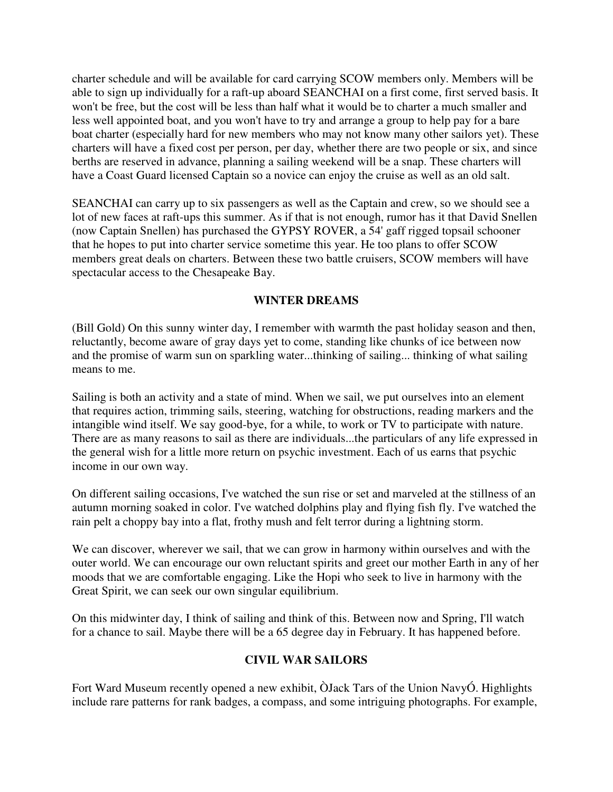charter schedule and will be available for card carrying SCOW members only. Members will be able to sign up individually for a raft-up aboard SEANCHAI on a first come, first served basis. It won't be free, but the cost will be less than half what it would be to charter a much smaller and less well appointed boat, and you won't have to try and arrange a group to help pay for a bare boat charter (especially hard for new members who may not know many other sailors yet). These charters will have a fixed cost per person, per day, whether there are two people or six, and since berths are reserved in advance, planning a sailing weekend will be a snap. These charters will have a Coast Guard licensed Captain so a novice can enjoy the cruise as well as an old salt.

SEANCHAI can carry up to six passengers as well as the Captain and crew, so we should see a lot of new faces at raft-ups this summer. As if that is not enough, rumor has it that David Snellen (now Captain Snellen) has purchased the GYPSY ROVER, a 54' gaff rigged topsail schooner that he hopes to put into charter service sometime this year. He too plans to offer SCOW members great deals on charters. Between these two battle cruisers, SCOW members will have spectacular access to the Chesapeake Bay.

#### **WINTER DREAMS**

(Bill Gold) On this sunny winter day, I remember with warmth the past holiday season and then, reluctantly, become aware of gray days yet to come, standing like chunks of ice between now and the promise of warm sun on sparkling water...thinking of sailing... thinking of what sailing means to me.

Sailing is both an activity and a state of mind. When we sail, we put ourselves into an element that requires action, trimming sails, steering, watching for obstructions, reading markers and the intangible wind itself. We say good-bye, for a while, to work or TV to participate with nature. There are as many reasons to sail as there are individuals...the particulars of any life expressed in the general wish for a little more return on psychic investment. Each of us earns that psychic income in our own way.

On different sailing occasions, I've watched the sun rise or set and marveled at the stillness of an autumn morning soaked in color. I've watched dolphins play and flying fish fly. I've watched the rain pelt a choppy bay into a flat, frothy mush and felt terror during a lightning storm.

We can discover, wherever we sail, that we can grow in harmony within ourselves and with the outer world. We can encourage our own reluctant spirits and greet our mother Earth in any of her moods that we are comfortable engaging. Like the Hopi who seek to live in harmony with the Great Spirit, we can seek our own singular equilibrium.

On this midwinter day, I think of sailing and think of this. Between now and Spring, I'll watch for a chance to sail. Maybe there will be a 65 degree day in February. It has happened before.

### **CIVIL WAR SAILORS**

Fort Ward Museum recently opened a new exhibit, ÒJack Tars of the Union NavyÓ. Highlights include rare patterns for rank badges, a compass, and some intriguing photographs. For example,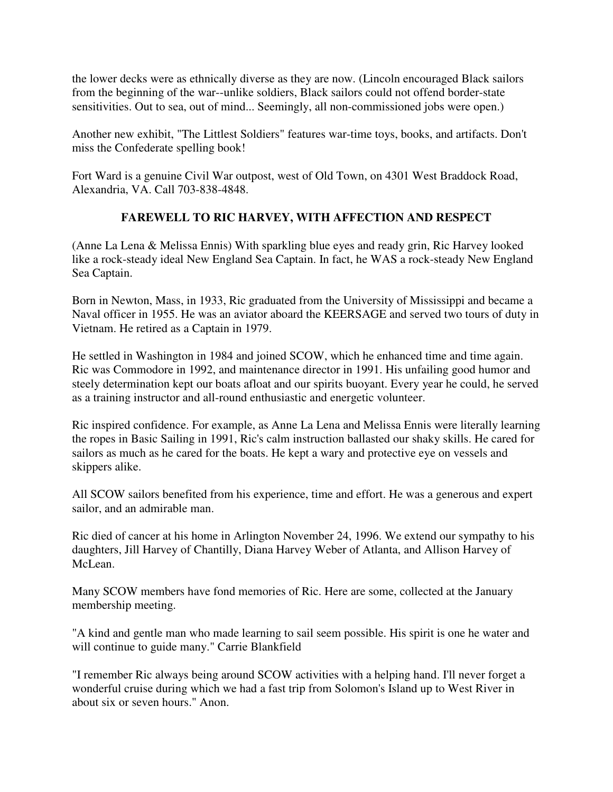the lower decks were as ethnically diverse as they are now. (Lincoln encouraged Black sailors from the beginning of the war--unlike soldiers, Black sailors could not offend border-state sensitivities. Out to sea, out of mind... Seemingly, all non-commissioned jobs were open.)

Another new exhibit, "The Littlest Soldiers" features war-time toys, books, and artifacts. Don't miss the Confederate spelling book!

Fort Ward is a genuine Civil War outpost, west of Old Town, on 4301 West Braddock Road, Alexandria, VA. Call 703-838-4848.

## **FAREWELL TO RIC HARVEY, WITH AFFECTION AND RESPECT**

(Anne La Lena & Melissa Ennis) With sparkling blue eyes and ready grin, Ric Harvey looked like a rock-steady ideal New England Sea Captain. In fact, he WAS a rock-steady New England Sea Captain.

Born in Newton, Mass, in 1933, Ric graduated from the University of Mississippi and became a Naval officer in 1955. He was an aviator aboard the KEERSAGE and served two tours of duty in Vietnam. He retired as a Captain in 1979.

He settled in Washington in 1984 and joined SCOW, which he enhanced time and time again. Ric was Commodore in 1992, and maintenance director in 1991. His unfailing good humor and steely determination kept our boats afloat and our spirits buoyant. Every year he could, he served as a training instructor and all-round enthusiastic and energetic volunteer.

Ric inspired confidence. For example, as Anne La Lena and Melissa Ennis were literally learning the ropes in Basic Sailing in 1991, Ric's calm instruction ballasted our shaky skills. He cared for sailors as much as he cared for the boats. He kept a wary and protective eye on vessels and skippers alike.

All SCOW sailors benefited from his experience, time and effort. He was a generous and expert sailor, and an admirable man.

Ric died of cancer at his home in Arlington November 24, 1996. We extend our sympathy to his daughters, Jill Harvey of Chantilly, Diana Harvey Weber of Atlanta, and Allison Harvey of McLean.

Many SCOW members have fond memories of Ric. Here are some, collected at the January membership meeting.

"A kind and gentle man who made learning to sail seem possible. His spirit is one he water and will continue to guide many." Carrie Blankfield

"I remember Ric always being around SCOW activities with a helping hand. I'll never forget a wonderful cruise during which we had a fast trip from Solomon's Island up to West River in about six or seven hours." Anon.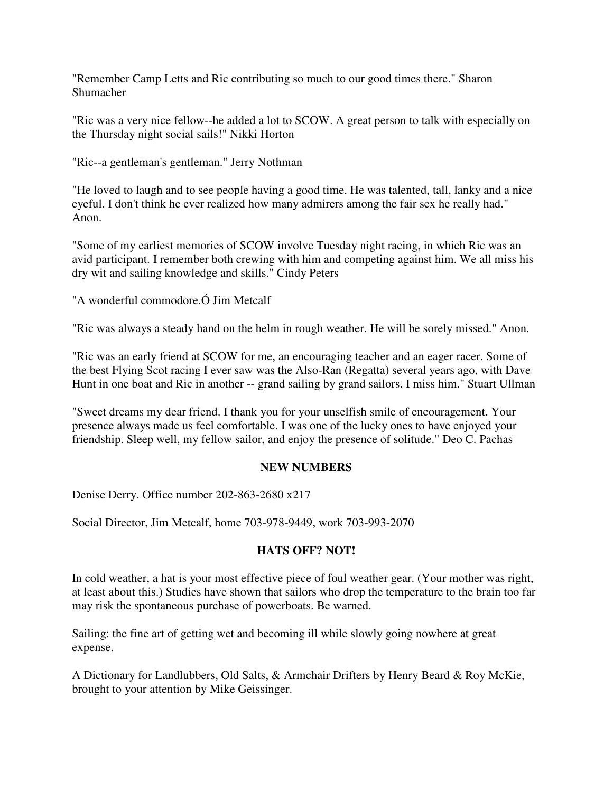"Remember Camp Letts and Ric contributing so much to our good times there." Sharon Shumacher

"Ric was a very nice fellow--he added a lot to SCOW. A great person to talk with especially on the Thursday night social sails!" Nikki Horton

"Ric--a gentleman's gentleman." Jerry Nothman

"He loved to laugh and to see people having a good time. He was talented, tall, lanky and a nice eyeful. I don't think he ever realized how many admirers among the fair sex he really had." Anon.

"Some of my earliest memories of SCOW involve Tuesday night racing, in which Ric was an avid participant. I remember both crewing with him and competing against him. We all miss his dry wit and sailing knowledge and skills." Cindy Peters

"A wonderful commodore.Ó Jim Metcalf

"Ric was always a steady hand on the helm in rough weather. He will be sorely missed." Anon.

"Ric was an early friend at SCOW for me, an encouraging teacher and an eager racer. Some of the best Flying Scot racing I ever saw was the Also-Ran (Regatta) several years ago, with Dave Hunt in one boat and Ric in another -- grand sailing by grand sailors. I miss him." Stuart Ullman

"Sweet dreams my dear friend. I thank you for your unselfish smile of encouragement. Your presence always made us feel comfortable. I was one of the lucky ones to have enjoyed your friendship. Sleep well, my fellow sailor, and enjoy the presence of solitude." Deo C. Pachas

### **NEW NUMBERS**

Denise Derry. Office number 202-863-2680 x217

Social Director, Jim Metcalf, home 703-978-9449, work 703-993-2070

### **HATS OFF? NOT!**

In cold weather, a hat is your most effective piece of foul weather gear. (Your mother was right, at least about this.) Studies have shown that sailors who drop the temperature to the brain too far may risk the spontaneous purchase of powerboats. Be warned.

Sailing: the fine art of getting wet and becoming ill while slowly going nowhere at great expense.

A Dictionary for Landlubbers, Old Salts, & Armchair Drifters by Henry Beard & Roy McKie, brought to your attention by Mike Geissinger.